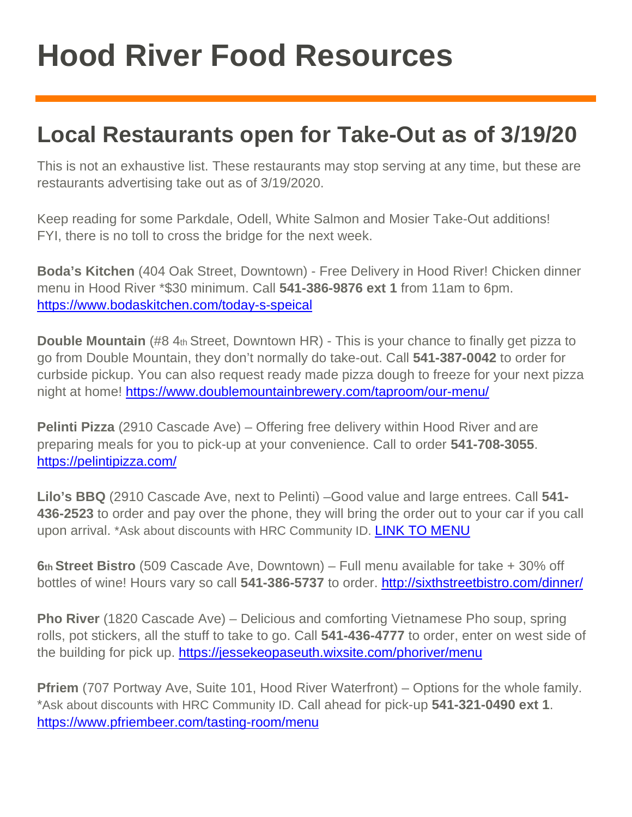## **Hood River Food Resources**

#### **Local Restaurants open for Take-Out as of 3/19/20**

This is not an exhaustive list. These restaurants may stop serving at any time, but these are restaurants advertising take out as of 3/19/2020.

Keep reading for some Parkdale, Odell, White Salmon and Mosier Take-Out additions! FYI, there is no toll to cross the bridge for the next week.

**Boda's Kitchen** (404 Oak Street, Downtown) - Free Delivery in Hood River! Chicken dinner menu in Hood River \*\$30 minimum. Call **541-386-9876 ext 1** from 11am to 6pm. <https://www.bodaskitchen.com/today-s-speical>

**Double Mountain** (#8 4th Street, Downtown HR) - This is your chance to finally get pizza to go from Double Mountain, they don't normally do take-out. Call **541-387-0042** to order for curbside pickup. You can also request ready made pizza dough to freeze for your next pizza night at home!<https://www.doublemountainbrewery.com/taproom/our-menu/>

**Pelinti Pizza** (2910 Cascade Ave) – Offering free delivery within Hood River and are preparing meals for you to pick-up at your convenience. Call to order **541-708-3055**. <https://pelintipizza.com/>

**Lilo's BBQ** (2910 Cascade Ave, next to Pelinti) –Good value and large entrees. Call **541- 436-2523** to order and pay over the phone, they will bring the order out to your car if you call upon arrival. \*Ask about discounts with HRC Community ID. [LINK TO MENU](https://www.menupix.com/menudirectory/menu.php?id=250308665)

**6th Street Bistro** (509 Cascade Ave, Downtown) – Full menu available for take + 30% off bottles of wine! Hours vary so call 541-386-5737 to order.<http://sixthstreetbistro.com/dinner/>

**Pho River** (1820 Cascade Ave) – Delicious and comforting Vietnamese Pho soup, spring rolls, pot stickers, all the stuff to take to go. Call **541-436-4777** to order, enter on west side of the building for pick up.<https://jessekeopaseuth.wixsite.com/phoriver/menu>

**Pfriem** (707 Portway Ave, Suite 101, Hood River Waterfront) – Options for the whole family. \*Ask about discounts with HRC Community ID. Call ahead for pick-up **541-321-0490 ext 1**. <https://www.pfriembeer.com/tasting-room/menu>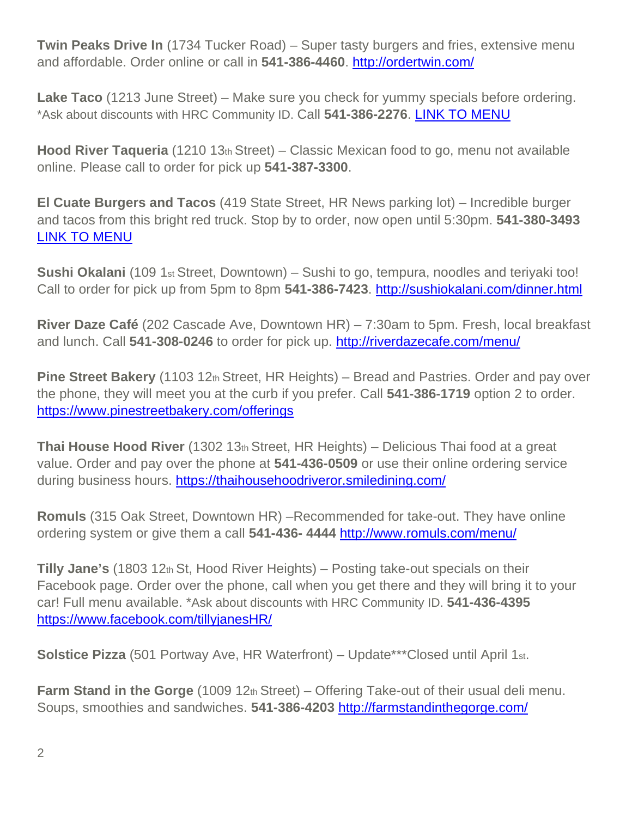**Twin Peaks Drive In** (1734 Tucker Road) – Super tasty burgers and fries, extensive menu and affordable. Order online or call in **541-386-4460**.<http://ordertwin.com/>

**Lake Taco** (1213 June Street) – Make sure you check for yummy specials before ordering. \*Ask about discounts with HRC Community ID. Call **541-386-2276**. [LINK TO MENU](https://www.facebook.com/pages/category/Mexican-Restaurant/Lake-Taco-881982101814163/)

**Hood River Taqueria** (1210 13th Street) – Classic Mexican food to go, menu not available online. Please call to order for pick up **541-387-3300**.

**El Cuate Burgers and Tacos** (419 State Street, HR News parking lot) – Incredible burger and tacos from this bright red truck. Stop by to order, now open until 5:30pm. **541-380-3493**  [LINK TO MENU](https://www.menupix.com/menudirectory/menu.php?id=28058977)

**Sushi Okalani** (109 1<sub>st</sub> Street, Downtown) – Sushi to go, tempura, noodles and teriyaki too! Call to order for pick up from 5pm to 8pm **541-386-7423**.<http://sushiokalani.com/dinner.html>

**River Daze Café** (202 Cascade Ave, Downtown HR) – 7:30am to 5pm. Fresh, local breakfast and lunch. Call **541-308-0246** to order for pick up.<http://riverdazecafe.com/menu/>

**Pine Street Bakery** (1103 12th Street, HR Heights) – Bread and Pastries. Order and pay over the phone, they will meet you at the curb if you prefer. Call **541-386-1719** option 2 to order. <https://www.pinestreetbakery.com/offerings>

**Thai House Hood River** (1302 13th Street, HR Heights) – Delicious Thai food at a great value. Order and pay over the phone at **541-436-0509** or use their online ordering service during business hours.<https://thaihousehoodriveror.smiledining.com/>

**Romuls** (315 Oak Street, Downtown HR) –Recommended for take-out. They have online ordering system or give them a call **541-436- 4444** <http://www.romuls.com/menu/>

**Tilly Jane's** (1803 12th St, Hood River Heights) – Posting take-out specials on their Facebook page. Order over the phone, call when you get there and they will bring it to your car! Full menu available. \*Ask about discounts with HRC Community ID. **541-436-4395**  <https://www.facebook.com/tillyjanesHR/>

**Solstice Pizza** (501 Portway Ave, HR Waterfront) – Update\*\*\* Closed until April 1st.

**Farm Stand in the Gorge** (1009 12th Street) – Offering Take-out of their usual deli menu. Soups, smoothies and sandwiches. **541-386-4203** <http://farmstandinthegorge.com/>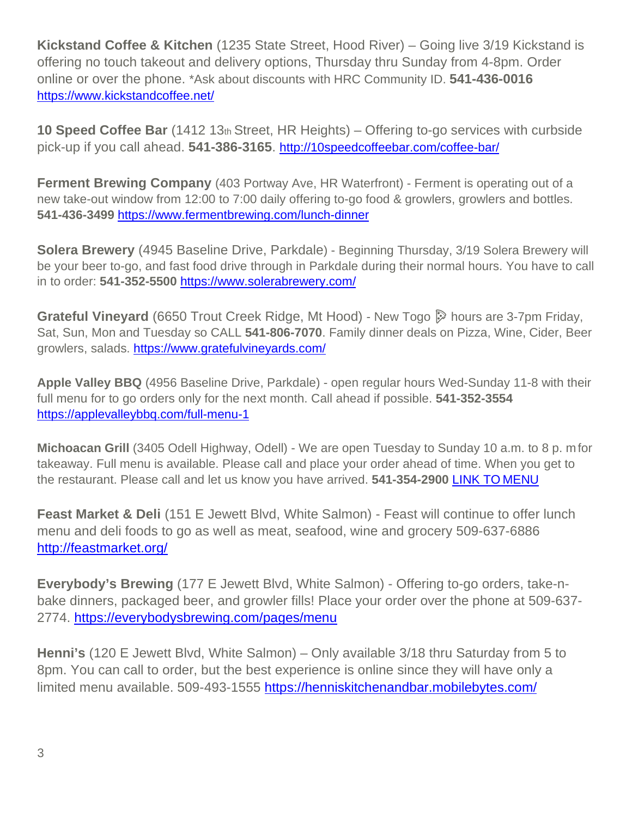**Kickstand Coffee & Kitchen** (1235 State Street, Hood River) – Going live 3/19 Kickstand is offering no touch takeout and delivery options, Thursday thru Sunday from 4-8pm. Order online or over the phone. \*Ask about discounts with HRC Community ID. **541-436-0016**  <https://www.kickstandcoffee.net/>

**10 Speed Coffee Bar** (1412 13th Street, HR Heights) – Offering to-go services with curbside pick-up if you call ahead. **541-386-3165**. <http://10speedcoffeebar.com/coffee-bar/>

**Ferment Brewing Company** (403 Portway Ave, HR Waterfront) - Ferment is operating out of a new take-out window from 12:00 to 7:00 daily offering to-go food & growlers, growlers and bottles. **541-436-3499** <https://www.fermentbrewing.com/lunch-dinner>

**Solera Brewery** (4945 Baseline Drive, Parkdale) - Beginning Thursday, 3/19 Solera Brewery will be your beer to-go, and fast food drive through in Parkdale during their normal hours. You have to call in to order: **541-352-5500** <https://www.solerabrewery.com/>

**Grateful Vineyard** (6650 Trout Creek Ridge, Mt Hood) - New Togo **S** hours are 3-7pm Friday, Sat, Sun, Mon and Tuesday so CALL **541-806-7070**. Family dinner deals on Pizza, Wine, Cider, Beer growlers, salads.<https://www.gratefulvineyards.com/>

**Apple Valley BBQ** (4956 Baseline Drive, Parkdale) - open regular hours Wed-Sunday 11-8 with their full menu for to go orders only for the next month. Call ahead if possible. **541-352-3554**  <https://applevalleybbq.com/full-menu-1>

**Michoacan Grill** (3405 Odell Highway, Odell) - We are open Tuesday to Sunday 10 a.m. to 8 p. mfor takeaway. Full menu is available. Please call and place your order ahead of time. When you get to the restaurant. Please call and let us know you have arrived. **541-354-2900** [LINK TO](https://s3-media4.fl.yelpcdn.com/bphoto/KJoChvSOruYWRVChfdC0Ow/o.jpg) MENU

**Feast Market & Deli** (151 E Jewett Blvd, White Salmon) - Feast will continue to offer lunch menu and deli foods to go as well as meat, seafood, wine and grocery 509-637-6886 <http://feastmarket.org/>

**Everybody's Brewing** (177 E Jewett Blvd, White Salmon) - Offering to-go orders, take-nbake dinners, packaged beer, and growler fills! Place your order over the phone at 509-637- 2774.<https://everybodysbrewing.com/pages/menu>

**Henni's** (120 E Jewett Blvd, White Salmon) – Only available 3/18 thru Saturday from 5 to 8pm. You can call to order, but the best experience is online since they will have only a limited menu available. 509-493-1555<https://henniskitchenandbar.mobilebytes.com/>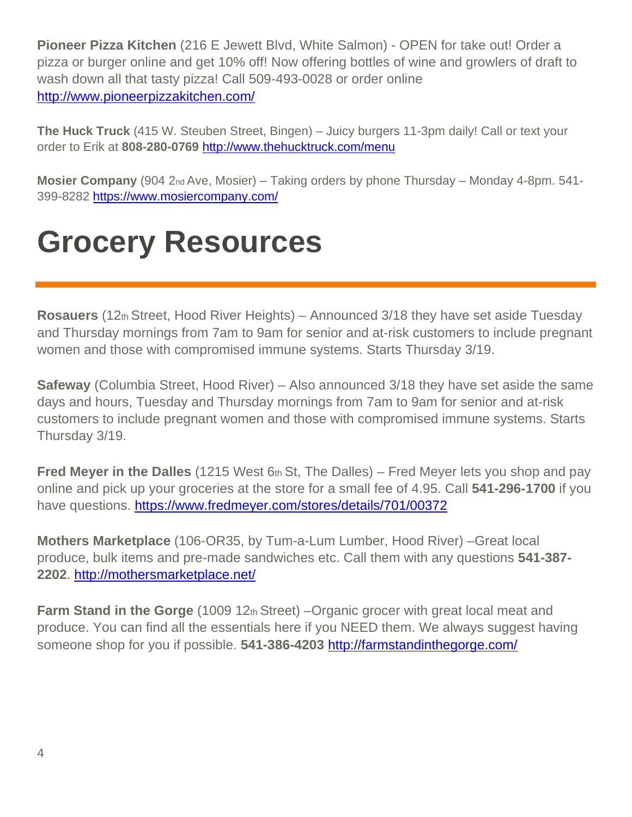**Pioneer Pizza Kitchen** (216 E Jewett Blvd, White Salmon) - OPEN for take out! Order a pizza or burger online and get 10% off! Now offering bottles of wine and growlers of draft to wash down all that tasty pizza! Call 509-493-0028 or order online <http://www.pioneerpizzakitchen.com/>

**The Huck Truck** (415 W. Steuben Street, Bingen) – Juicy burgers 11-3pm daily! Call or text your order to Erik at **808-280-0769** <http://www.thehucktruck.com/menu>

**Mosier Company** (904 2nd Ave, Mosier) – Taking orders by phone Thursday – Monday 4-8pm. 541 399-8282<https://www.mosiercompany.com/>

### **Grocery Resources**

**Rosauers** (12th Street, Hood River Heights) – Announced 3/18 they have set aside Tuesday and Thursday mornings from 7am to 9am for senior and at-risk customers to include pregnant women and those with compromised immune systems. Starts Thursday 3/19.

**Safeway** (Columbia Street, Hood River) – Also announced 3/18 they have set aside the same days and hours, Tuesday and Thursday mornings from 7am to 9am for senior and at-risk customers to include pregnant women and those with compromised immune systems. Starts Thursday 3/19.

**Fred Meyer in the Dalles** (1215 West 6th St, The Dalles) – Fred Meyer lets you shop and pay online and pick up your groceries at the store for a small fee of 4.95. Call **541-296-1700** if you have questions.<https://www.fredmeyer.com/stores/details/701/00372>

**Mothers Marketplace** (106-OR35, by Tum-a-Lum Lumber, Hood River) –Great local produce, bulk items and pre-made sandwiches etc. Call them with any questions **541-387- 2202**.<http://mothersmarketplace.net/>

**Farm Stand in the Gorge** (1009 12th Street) –Organic grocer with great local meat and produce. You can find all the essentials here if you NEED them. We always suggest having someone shop for you if possible. **541-386-4203** <http://farmstandinthegorge.com/>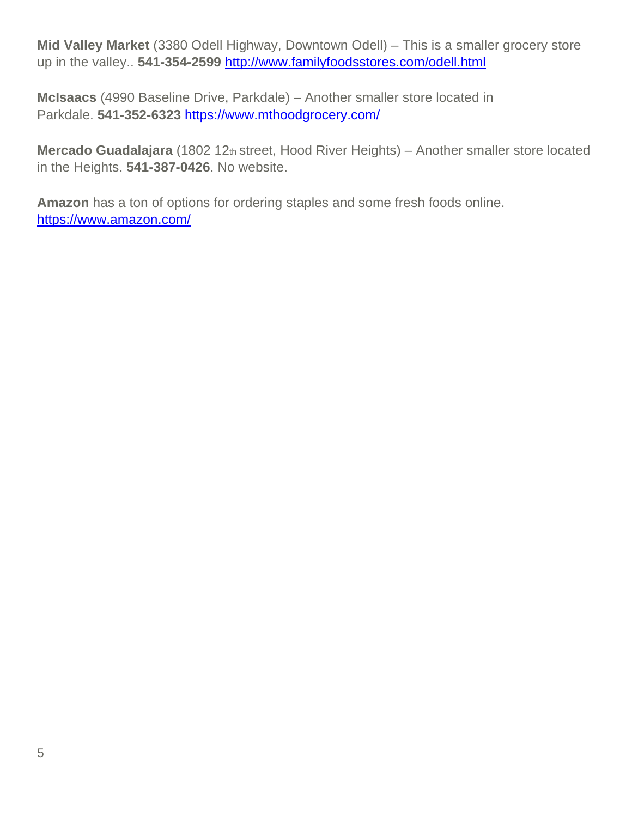**Mid Valley Market** (3380 Odell Highway, Downtown Odell) – This is a smaller grocery store up in the valley.. **541-354-2599** <http://www.familyfoodsstores.com/odell.html>

**McIsaacs** (4990 Baseline Drive, Parkdale) – Another smaller store located in Parkdale. **541-352-6323** <https://www.mthoodgrocery.com/>

**Mercado Guadalajara** (1802 12th street, Hood River Heights) – Another smaller store located in the Heights. **541-387-0426**. No website.

**Amazon** has a ton of options for ordering staples and some fresh foods online. <https://www.amazon.com/>